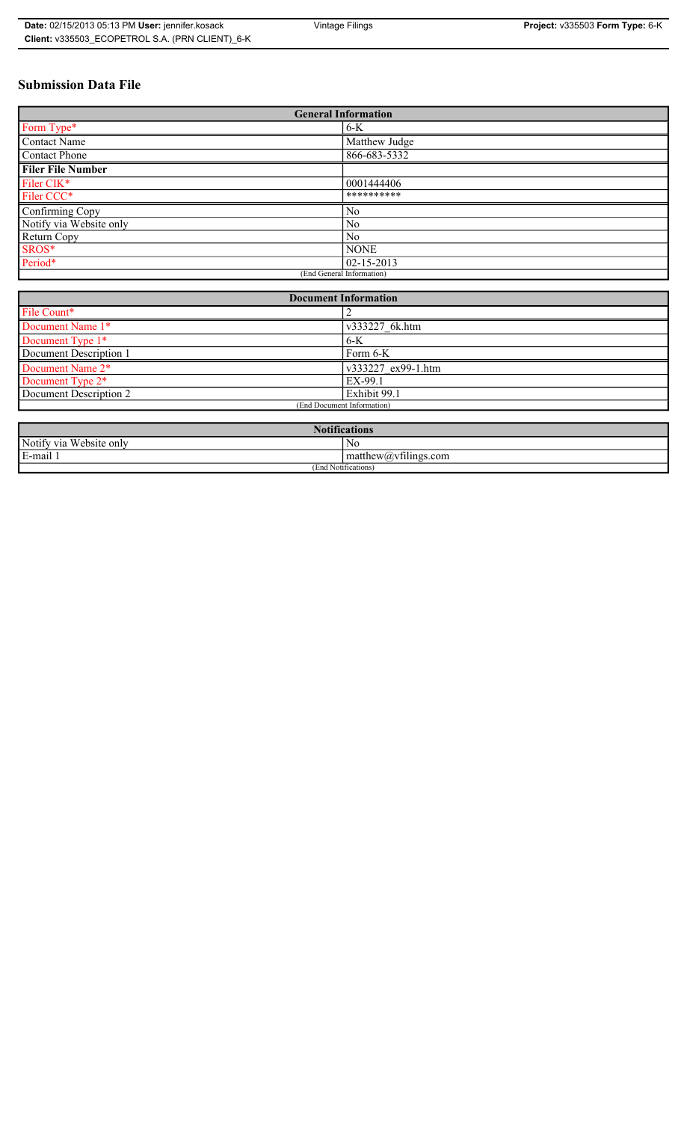# **Submission Data File**

| <b>General Information</b> |                    |  |
|----------------------------|--------------------|--|
| Form Type*                 | $6-K$              |  |
| Contact Name               | Matthew Judge      |  |
| <b>Contact Phone</b>       | 866-683-5332       |  |
| <b>Filer File Number</b>   |                    |  |
| Filer CIK*                 | 0001444406         |  |
| Filer CCC*                 | **********         |  |
| Confirming Copy            | N <sub>0</sub>     |  |
| Notify via Website only    | No.                |  |
| Return Copy                | N <sub>0</sub>     |  |
| SROS*                      | <b>NONE</b>        |  |
| Period*                    | $ 02 - 15 - 2013 $ |  |
| (End General Information)  |                    |  |

| <b>Document Information</b> |                    |
|-----------------------------|--------------------|
| File Count*                 |                    |
| Document Name 1*            | v333227 6k.htm     |
| Document Type 1*            | $6-K$              |
| Document Description 1      | Form 6-K           |
| Document Name 2*            | v333227 ex99-1.htm |
| Document Type 2*            | EX-99.1            |
| Document Description 2      | Exhibit 99.1       |
| (End Document Information)  |                    |
|                             |                    |

| <b>Notifications</b>    |                                                   |  |
|-------------------------|---------------------------------------------------|--|
| Notify via Website only | NC                                                |  |
| E-mail<br>$\cdot$ .     | $\sim$ 1.<br>$math>math>matrix(a)$ , willings.com |  |
| (End Notifications)     |                                                   |  |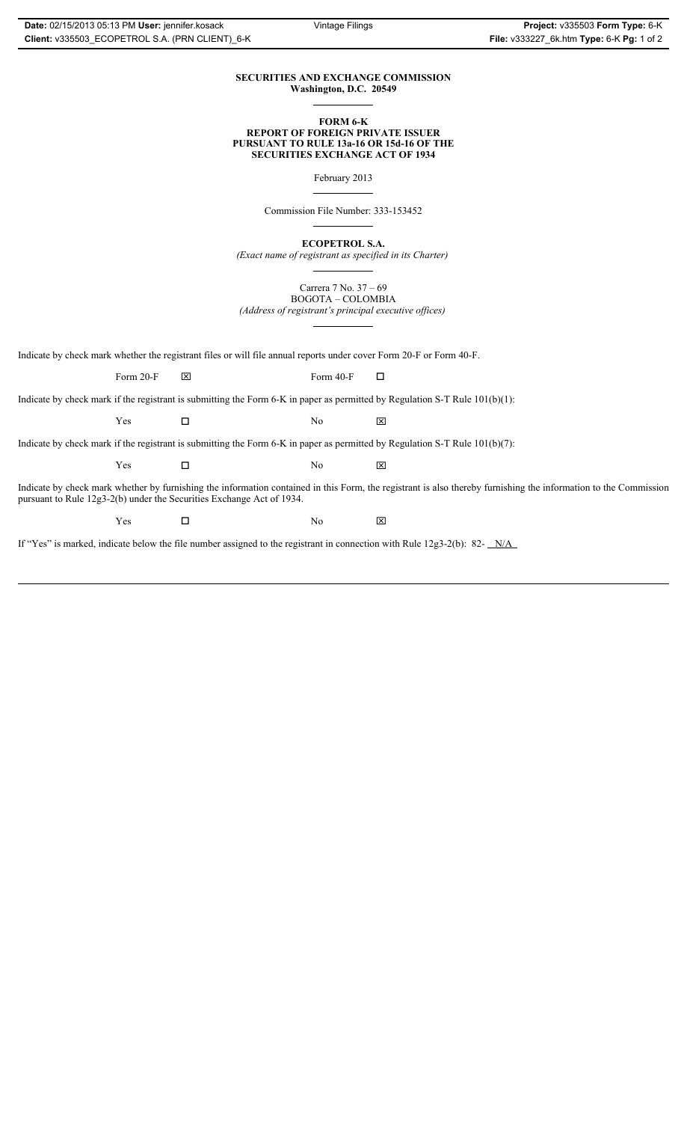## **SECURITIES AND EXCHANGE COMMISSION Washington, D.C. 20549**

#### **FORM 6-K REPORT OF FOREIGN PRIVATE ISSUER PURSUANT TO RULE 13a-16 OR 15d-16 OF THE SECURITIES EXCHANGE ACT OF 1934**

February 2013

Commission File Number: 333-153452

**ECOPETROL S.A.**

*(Exact name of registrant as specified in its Charter)*

Carrera 7 No. 37 – 69 BOGOTA – COLOMBIA

*(Address of registrant's principal executive offices)*

Indicate by check mark whether the registrant files or will file annual reports under cover Form 20-F or Form 40-F.

Form 20-F  $\boxtimes$  Form 40-F  $\Box$ 

Indicate by check mark if the registrant is submitting the Form 6-K in paper as permitted by Regulation S-T Rule 101(b)(1):

 $Yes$   $\Box$   $No$   $X$ 

Indicate by check mark if the registrant is submitting the Form 6-K in paper as permitted by Regulation S-T Rule 101(b)(7):

 $Yes$   $\Box$   $No$   $X$ 

Indicate by check mark whether by furnishing the information contained in this Form, the registrant is also thereby furnishing the information to the Commission pursuant to Rule 12g3-2(b) under the Securities Exchange Act of 1934.

 $Yes$   $\square$ 

If "Yes" is marked, indicate below the file number assigned to the registrant in connection with Rule 12g3-2(b): 82- N/A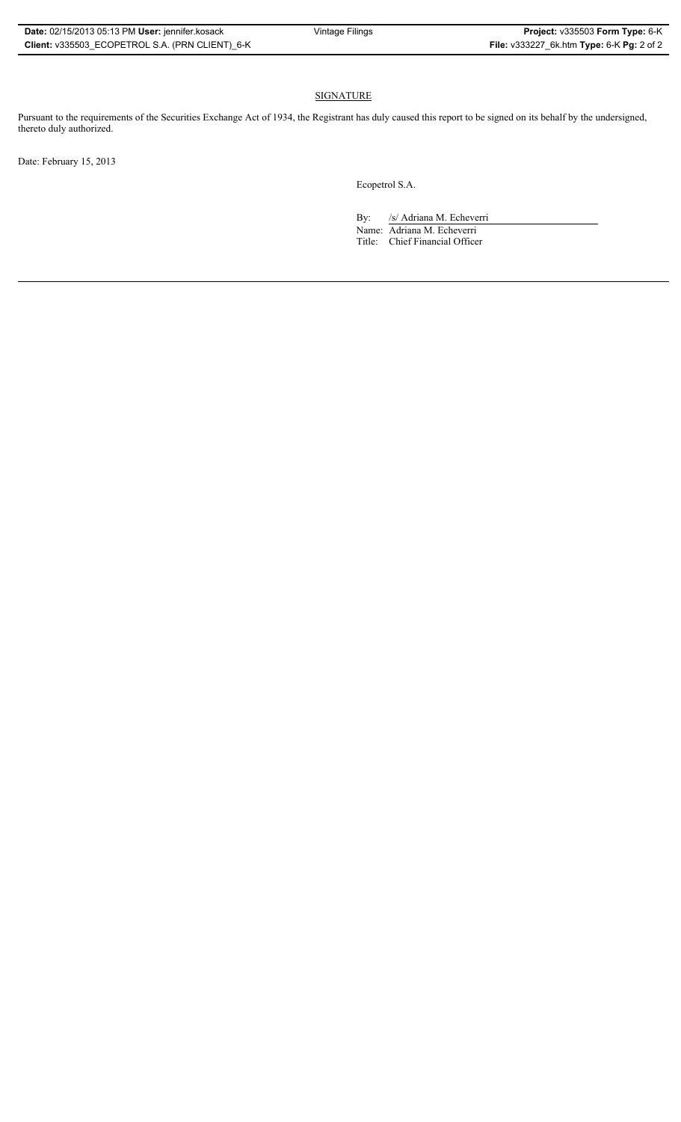# SIGNATURE

Pursuant to the requirements of the Securities Exchange Act of 1934, the Registrant has duly caused this report to be signed on its behalf by the undersigned, thereto duly authorized.

Date: February 15, 2013

Ecopetrol S.A.

By: /s/ Adriana M. Echeverri

Name: Adriana M. Echeverri Title: Chief Financial Officer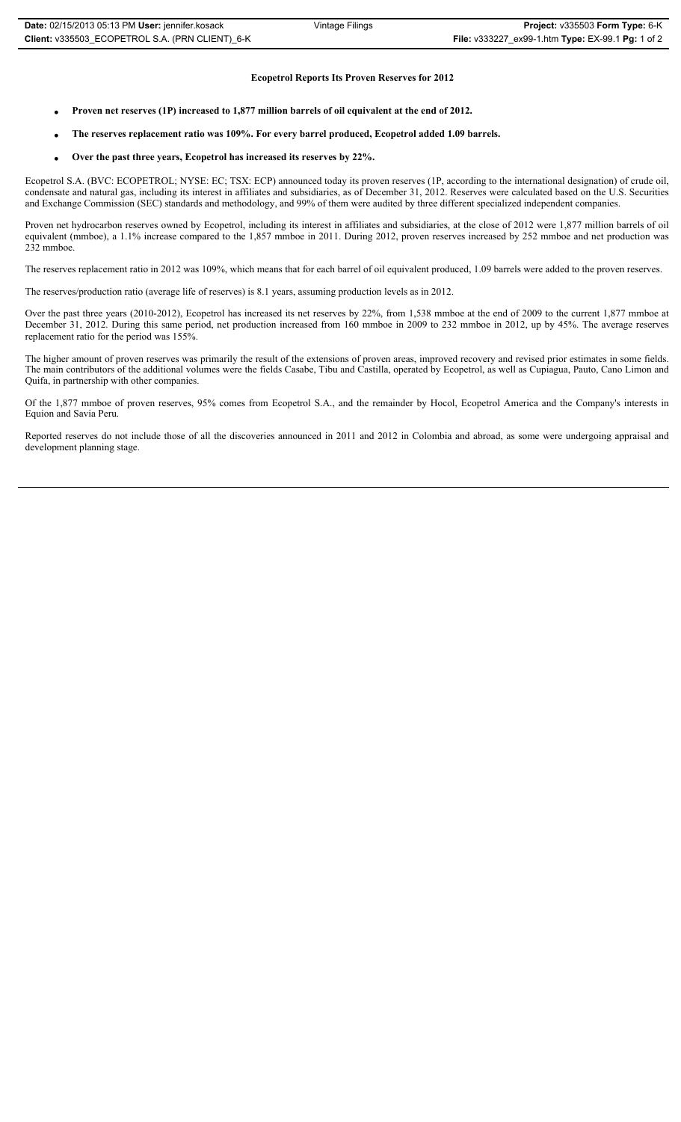### **Ecopetrol Reports Its Proven Reserves for 2012**

- x **Proven net reserves (1P) increased to 1,877 million barrels of oil equivalent at the end of 2012.**
- x **The reserves replacement ratio was 109%. For every barrel produced, Ecopetrol added 1.09 barrels.**
- **o** Over the past three years, Ecopetrol has increased its reserves by 22%.

Ecopetrol S.A. (BVC: ECOPETROL; NYSE: EC; TSX: ECP) announced today its proven reserves (1P, according to the international designation) of crude oil, condensate and natural gas, including its interest in affiliates and subsidiaries, as of December 31, 2012. Reserves were calculated based on the U.S. Securities and Exchange Commission (SEC) standards and methodology, and 99% of them were audited by three different specialized independent companies.

Proven net hydrocarbon reserves owned by Ecopetrol, including its interest in affiliates and subsidiaries, at the close of 2012 were 1,877 million barrels of oil equivalent (mmboe), a 1.1% increase compared to the 1,857 mmboe in 2011. During 2012, proven reserves increased by 252 mmboe and net production was 232 mmboe.

The reserves replacement ratio in 2012 was 109%, which means that for each barrel of oil equivalent produced, 1.09 barrels were added to the proven reserves.

The reserves/production ratio (average life of reserves) is 8.1 years, assuming production levels as in 2012.

Over the past three years (2010-2012), Ecopetrol has increased its net reserves by 22%, from 1,538 mmboe at the end of 2009 to the current 1,877 mmboe at December 31, 2012. During this same period, net production increased from 160 mmboe in 2009 to 232 mmboe in 2012, up by 45%. The average reserves replacement ratio for the period was 155%.

The higher amount of proven reserves was primarily the result of the extensions of proven areas, improved recovery and revised prior estimates in some fields. The main contributors of the additional volumes were the fields Casabe, Tibu and Castilla, operated by Ecopetrol, as well as Cupiagua, Pauto, Cano Limon and Quifa, in partnership with other companies.

Of the 1,877 mmboe of proven reserves, 95% comes from Ecopetrol S.A., and the remainder by Hocol, Ecopetrol America and the Company's interests in Equion and Savia Peru.

Reported reserves do not include those of all the discoveries announced in 2011 and 2012 in Colombia and abroad, as some were undergoing appraisal and development planning stage.